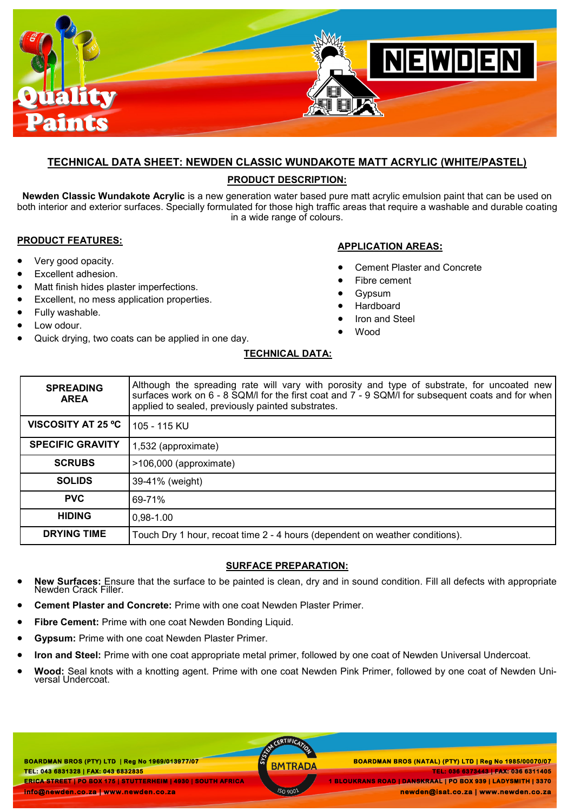

### **TECHNICAL DATA SHEET: NEWDEN CLASSIC WUNDAKOTE MATT ACRYLIC (WHITE/PASTEL)**

### **PRODUCT DESCRIPTION:**

**Newden Classic Wundakote Acrylic** is a new generation water based pure matt acrylic emulsion paint that can be used on both interior and exterior surfaces. Specially formulated for those high traffic areas that require a washable and durable coating in a wide range of colours.

#### **PRODUCT FEATURES:**

- Very good opacity.
- Excellent adhesion.
- Matt finish hides plaster imperfections.
- Excellent, no mess application properties.
- Fully washable.
- Low odour.
- Quick drying, two coats can be applied in one day.

### **APPLICATION AREAS:**

- Cement Plaster and Concrete
- Fibre cement
- Gypsum
- Hardboard
- Iron and Steel
- Wood

## **TECHNICAL DATA:**

| <b>SPREADING</b><br><b>AREA</b> | Although the spreading rate will vary with porosity and type of substrate, for uncoated new<br>surfaces work on 6 - 8 SQM/I for the first coat and 7 - 9 SQM/I for subsequent coats and for when<br>applied to sealed, previously painted substrates. |
|---------------------------------|-------------------------------------------------------------------------------------------------------------------------------------------------------------------------------------------------------------------------------------------------------|
| <b>VISCOSITY AT 25 °C</b>       | 105 - 115 KU                                                                                                                                                                                                                                          |
| <b>SPECIFIC GRAVITY</b>         | 1,532 (approximate)                                                                                                                                                                                                                                   |
| <b>SCRUBS</b>                   | >106,000 (approximate)                                                                                                                                                                                                                                |
| <b>SOLIDS</b>                   | 39-41% (weight)                                                                                                                                                                                                                                       |
| <b>PVC</b>                      | 69-71%                                                                                                                                                                                                                                                |
| <b>HIDING</b>                   | $0.98 - 1.00$                                                                                                                                                                                                                                         |
| <b>DRYING TIME</b>              | Touch Dry 1 hour, recoat time 2 - 4 hours (dependent on weather conditions).                                                                                                                                                                          |

#### **SURFACE PREPARATION:**

- **New Surfaces:** Ensure that the surface to be painted is clean, dry and in sound condition. Fill all defects with appropriate Newden Crack Filler.
- **Cement Plaster and Concrete:** Prime with one coat Newden Plaster Primer.
- **Fibre Cement:** Prime with one coat Newden Bonding Liquid.
- **Gypsum:** Prime with one coat Newden Plaster Primer.
- **Iron and Steel:** Prime with one coat appropriate metal primer, followed by one coat of Newden Universal Undercoat.
- **Wood:** Seal knots with a knotting agent. Prime with one coat Newden Pink Primer, followed by one coat of Newden Universal Undercoat.

**BOARDMAN BROS (PTY) LTD | Reg No 1969/013977/07 TEL: 043 6831328 | FAX: 043 6832835 ERICA STREET | PO BOX 175 | STUTTERHEIM | 4930 | SOUTH AFRICA info@newden.co.za | www.newden.co.za** 

CERTIFICAT

 **BOARDMAN BROS (PTY) LTD | Reg No 1969/013977/07 BOARDMAN BROS (NATAL) (PTY) LTD | Reg No 1985/00070/07 TEL: 036 6373443 | FAX: 036 6311405 1 BLOUKRANS ROAD | DANSKRAAL | PO BOX 939 | LADYSMITH | 3370 newden@isat.co.za | www.newden.co.za**